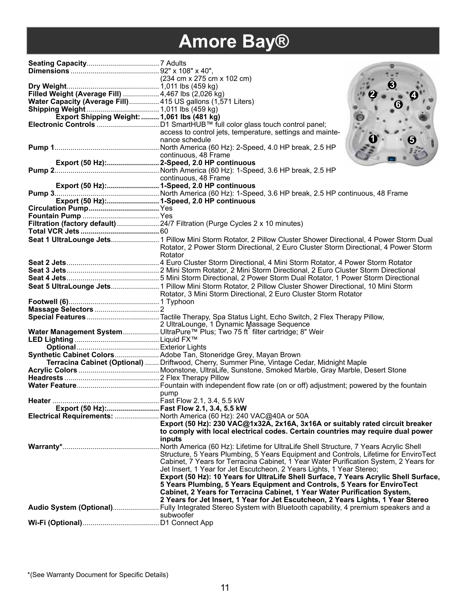# **Amore Bay®**

| Filled Weight (Average Fill)  4,467 lbs (2,026 kg)          |                                                                                                         |
|-------------------------------------------------------------|---------------------------------------------------------------------------------------------------------|
| Water Capacity (Average Fill) 415 US gallons (1,571 Liters) |                                                                                                         |
|                                                             |                                                                                                         |
| Export Shipping Weight:  1,061 lbs (481 kg)                 |                                                                                                         |
|                                                             |                                                                                                         |
|                                                             | access to control jets, temperature, settings and mainte-                                               |
|                                                             | nance schedule                                                                                          |
|                                                             | continuous, 48 Frame                                                                                    |
| Export (50 Hz): 2-Speed, 2.0 HP continuous                  |                                                                                                         |
|                                                             |                                                                                                         |
|                                                             | continuous, 48 Frame                                                                                    |
|                                                             |                                                                                                         |
|                                                             |                                                                                                         |
| Export (50 Hz): 1-Speed, 2.0 HP continuous                  |                                                                                                         |
|                                                             |                                                                                                         |
|                                                             |                                                                                                         |
|                                                             | Filtration (factory default)  24/7 Filtration (Purge Cycles 2 x 10 minutes)                             |
|                                                             |                                                                                                         |
|                                                             |                                                                                                         |
|                                                             | Rotator, 2 Power Storm Directional, 2 Euro Cluster Storm Directional, 4 Power Storm                     |
|                                                             | Rotator                                                                                                 |
|                                                             |                                                                                                         |
|                                                             |                                                                                                         |
|                                                             |                                                                                                         |
|                                                             | Seat 5 UltraLounge Jets 1 Pillow Mini Storm Rotator, 2 Pillow Cluster Shower Directional, 10 Mini Storm |
|                                                             | Rotator, 3 Mini Storm Directional, 2 Euro Cluster Storm Rotator                                         |
|                                                             |                                                                                                         |
|                                                             |                                                                                                         |
|                                                             |                                                                                                         |
|                                                             | 2 UltraLounge, 1 Dynamic Massage Sequence                                                               |
|                                                             | Water Management System  UltraPure™ Plus; Two 75 ft filter cartridge; 8" Weir                           |
|                                                             |                                                                                                         |
|                                                             |                                                                                                         |
|                                                             | Synthetic Cabinet ColorsAdobe Tan, Stoneridge Grey, Mayan Brown                                         |
|                                                             | Terracina Cabinet (Optional)  Driftwood, Cherry, Summer Pine, Vintage Cedar, Midnight Maple             |
|                                                             |                                                                                                         |
|                                                             |                                                                                                         |
|                                                             | pump                                                                                                    |
| Heater .                                                    |                                                                                                         |
| Export (50 Hz): Fast Flow 2.1, 3.4, 5.5 kW                  |                                                                                                         |
|                                                             | Electrical Requirements:  North America (60 Hz): 240 VAC@40A or 50A                                     |
|                                                             | Export (50 Hz): 230 VAC@1x32A, 2x16A, 3x16A or suitably rated circuit breaker                           |
|                                                             | to comply with local electrical codes. Certain countries may require dual power                         |
|                                                             | inputs                                                                                                  |
|                                                             |                                                                                                         |
|                                                             | Structure, 5 Years Plumbing, 5 Years Equipment and Controls, Lifetime for EnviroTect                    |
|                                                             | Cabinet, 7 Years for Terracina Cabinet, 1 Year Water Purification System, 2 Years for                   |
|                                                             | Jet Insert, 1 Year for Jet Escutcheon, 2 Years Lights, 1 Year Stereo;                                   |
|                                                             | Export (50 Hz): 10 Years for UltraLife Shell Surface, 7 Years Acrylic Shell Surface,                    |
|                                                             | 5 Years Plumbing, 5 Years Equipment and Controls, 5 Years for EnviroTect                                |
|                                                             | Cabinet, 2 Years for Terracina Cabinet, 1 Year Water Purification System,                               |
|                                                             | 2 Years for Jet Insert, 1 Year for Jet Escutcheon, 2 Years Lights, 1 Year Stereo                        |
|                                                             | subwoofer                                                                                               |
|                                                             |                                                                                                         |
|                                                             |                                                                                                         |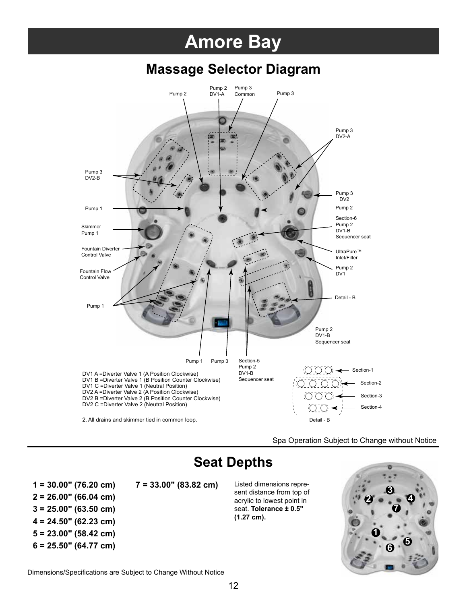## **Amore Bay**

#### **Massage Selector Diagram**



Spa Operation Subject to Change without Notice

### **Seat Depths**

- **2 = 26.00" (66.04 cm)**
- **3 = 25.00" (63.50 cm)**
- **4 = 24.50" (62.23 cm)**
- **5 = 23.00" (58.42 cm)**
- **6 = 25.50" (64.77 cm)**

**1 = 30.00" (76.20 cm) 7 = 33.00" (83.82 cm)** Listed dimensions repre-

sent distance from top of acrylic to lowest point in seat. **Tolerance ± 0.5" (1.27 cm).**



Dimensions/Specifications are Subject to Change Without Notice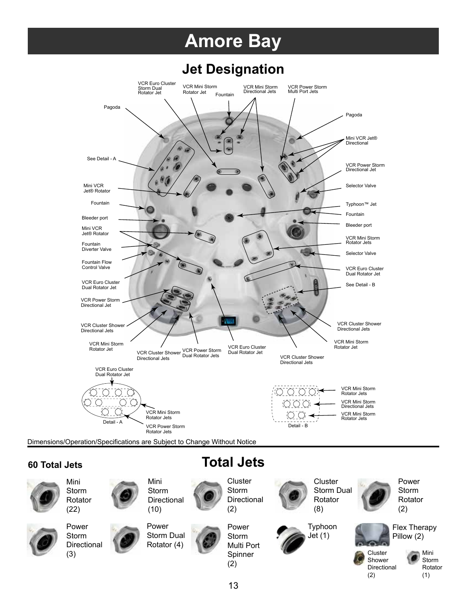## **Amore Bay**

#### **Jet Designation**



Dimensions/Operation/Specifications are Subject to Change Without Notice

Mini Storm

#### **60 Total Jets**

Mini Storm













**Cluster** Storm **Directional** (2)

**Total Jets**







Typhoon Jet (1)

Storm Dual



Rotator



Directional (2)